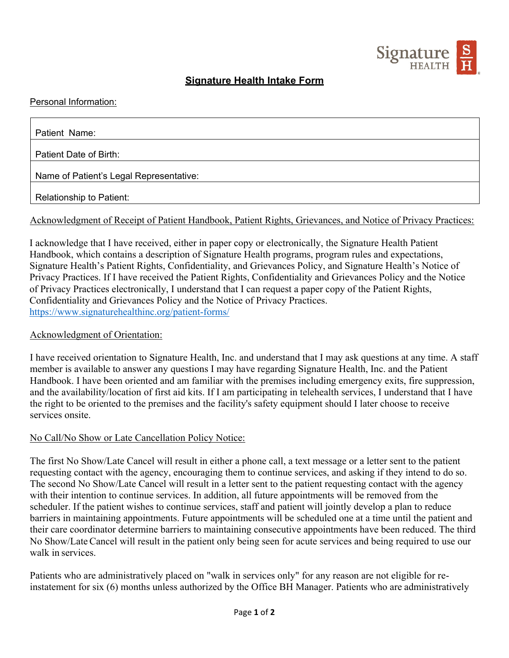

## **Signature Health Intake Form**

### Personal Information:

| Patient Name:                           |
|-----------------------------------------|
|                                         |
| Patient Date of Birth:                  |
|                                         |
| Name of Patient's Legal Representative: |
|                                         |
| Relationship to Patient:                |

### Acknowledgment of Receipt of Patient Handbook, Patient Rights, Grievances, and Notice of Privacy Practices:

I acknowledge that I have received, either in paper copy or electronically, the Signature Health Patient Handbook, which contains a description of Signature Health programs, program rules and expectations, Signature Health's Patient Rights, Confidentiality, and Grievances Policy, and Signature Health's Notice of Privacy Practices. If I have received the Patient Rights, Confidentiality and Grievances Policy and the Notice of Privacy Practices electronically, I understand that I can request a paper copy of the Patient Rights, Confidentiality and Grievances Policy and the Notice of Privacy Practices. https://www.signaturehealthinc.org/patient-forms/

#### Acknowledgment of Orientation:

I have received orientation to Signature Health, Inc. and understand that I may ask questions at any time. A staff member is available to answer any questions I may have regarding Signature Health, Inc. and the Patient Handbook. I have been oriented and am familiar with the premises including emergency exits, fire suppression, and the availability/location of first aid kits. If I am participating in telehealth services, I understand that I have the right to be oriented to the premises and the facility's safety equipment should I later choose to receive services onsite.

#### No Call/No Show or Late Cancellation Policy Notice:

The first No Show/Late Cancel will result in either a phone call, a text message or a letter sent to the patient requesting contact with the agency, encouraging them to continue services, and asking if they intend to do so. The second No Show/Late Cancel will result in a letter sent to the patient requesting contact with the agency with their intention to continue services. In addition, all future appointments will be removed from the scheduler. If the patient wishes to continue services, staff and patient will jointly develop a plan to reduce barriers in maintaining appointments. Future appointments will be scheduled one at a time until the patient and their care coordinator determine barriers to maintaining consecutive appointments have been reduced. The third No Show/Late Cancel will result in the patient only being seen for acute services and being required to use our walk in services.

Patients who are administratively placed on "walk in services only" for any reason are not eligible for reinstatement for six (6) months unless authorized by the Office BH Manager. Patients who are administratively